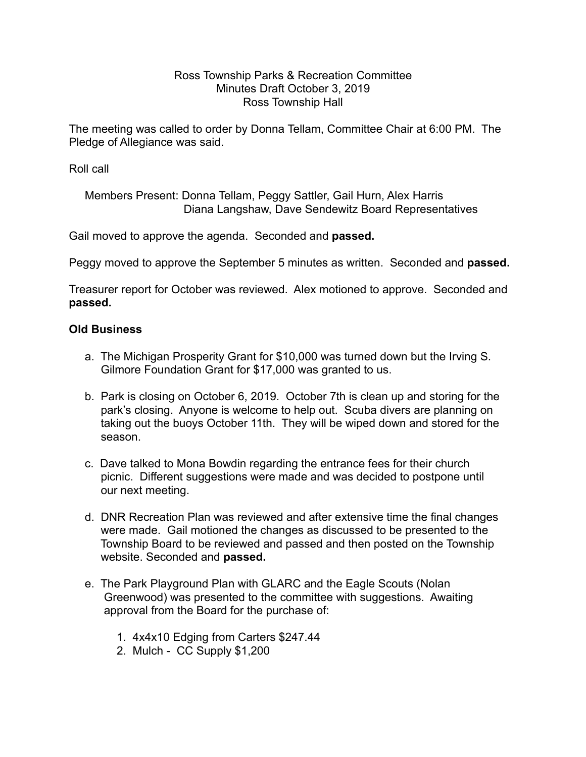## Ross Township Parks & Recreation Committee Minutes Draft October 3, 2019 Ross Township Hall

The meeting was called to order by Donna Tellam, Committee Chair at 6:00 PM. The Pledge of Allegiance was said.

Roll call

 Members Present: Donna Tellam, Peggy Sattler, Gail Hurn, Alex Harris Diana Langshaw, Dave Sendewitz Board Representatives

Gail moved to approve the agenda. Seconded and **passed.**

Peggy moved to approve the September 5 minutes as written. Seconded and **passed.** 

Treasurer report for October was reviewed. Alex motioned to approve. Seconded and **passed.** 

## **Old Business**

- a. The Michigan Prosperity Grant for \$10,000 was turned down but the Irving S. Gilmore Foundation Grant for \$17,000 was granted to us.
- b. Park is closing on October 6, 2019. October 7th is clean up and storing for the park's closing. Anyone is welcome to help out. Scuba divers are planning on taking out the buoys October 11th. They will be wiped down and stored for the season.
- c. Dave talked to Mona Bowdin regarding the entrance fees for their church picnic. Different suggestions were made and was decided to postpone until our next meeting.
- d. DNR Recreation Plan was reviewed and after extensive time the final changes were made. Gail motioned the changes as discussed to be presented to the Township Board to be reviewed and passed and then posted on the Township website. Seconded and **passed.**
- e. The Park Playground Plan with GLARC and the Eagle Scouts (Nolan Greenwood) was presented to the committee with suggestions. Awaiting approval from the Board for the purchase of:
	- 1. 4x4x10 Edging from Carters \$247.44
	- 2. Mulch CC Supply \$1,200